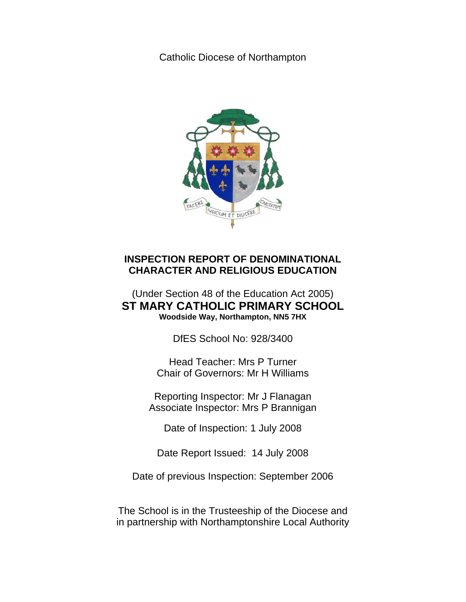Catholic Diocese of Northampton



# **INSPECTION REPORT OF DENOMINATIONAL CHARACTER AND RELIGIOUS EDUCATION**

# (Under Section 48 of the Education Act 2005) **ST MARY CATHOLIC PRIMARY SCHOOL Woodside Way, Northampton, NN5 7HX**

DfES School No: 928/3400

Head Teacher: Mrs P Turner Chair of Governors: Mr H Williams

Reporting Inspector: Mr J Flanagan Associate Inspector: Mrs P Brannigan

Date of Inspection: 1 July 2008

Date Report Issued: 14 July 2008

Date of previous Inspection: September 2006

The School is in the Trusteeship of the Diocese and in partnership with Northamptonshire Local Authority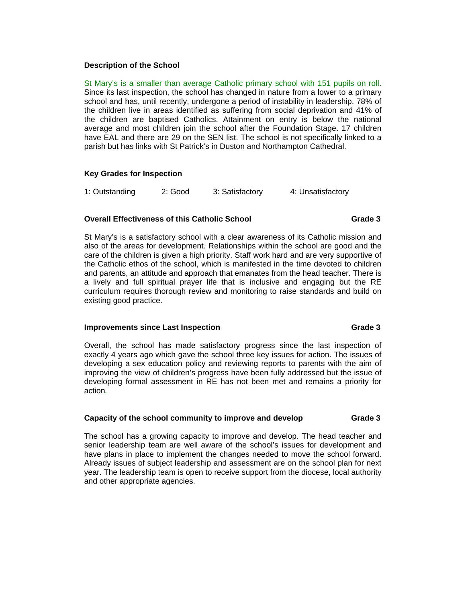# **Description of the School**

St Mary's is a smaller than average Catholic primary school with 151 pupils on roll. Since its last inspection, the school has changed in nature from a lower to a primary school and has, until recently, undergone a period of instability in leadership. 78% of the children live in areas identified as suffering from social deprivation and 41% of the children are baptised Catholics. Attainment on entry is below the national average and most children join the school after the Foundation Stage. 17 children have EAL and there are 29 on the SEN list. The school is not specifically linked to a parish but has links with St Patrick's in Duston and Northampton Cathedral.

# **Key Grades for Inspection**

1: Outstanding 2: Good 3: Satisfactory 4: Unsatisfactory

# **Overall Effectiveness of this Catholic School Crace 3 6 Catholic School Grade 3**

St Mary's is a satisfactory school with a clear awareness of its Catholic mission and also of the areas for development. Relationships within the school are good and the care of the children is given a high priority. Staff work hard and are very supportive of the Catholic ethos of the school, which is manifested in the time devoted to children and parents, an attitude and approach that emanates from the head teacher. There is a lively and full spiritual prayer life that is inclusive and engaging but the RE curriculum requires thorough review and monitoring to raise standards and build on existing good practice.

## **Improvements since Last Inspection Grade 3 Canadian Construction Grade 3 Canadian Construction Crade 3 American**

Overall, the school has made satisfactory progress since the last inspection of exactly 4 years ago which gave the school three key issues for action. The issues of developing a sex education policy and reviewing reports to parents with the aim of improving the view of children's progress have been fully addressed but the issue of developing formal assessment in RE has not been met and remains a priority for action*.* 

# **Capacity of the school community to improve and develop Grade 3**

The school has a growing capacity to improve and develop. The head teacher and senior leadership team are well aware of the school's issues for development and have plans in place to implement the changes needed to move the school forward. Already issues of subject leadership and assessment are on the school plan for next year. The leadership team is open to receive support from the diocese, local authority and other appropriate agencies.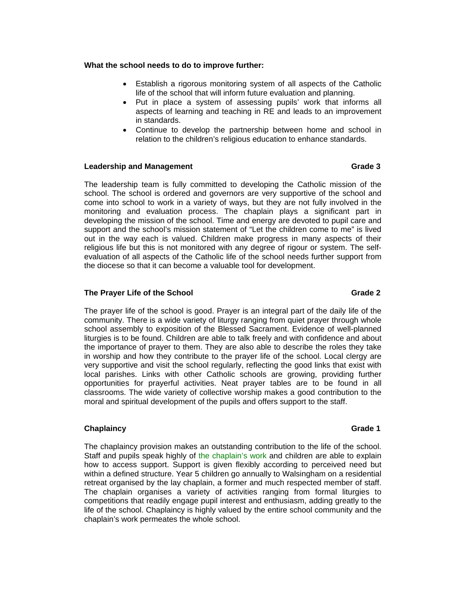### **What the school needs to do to improve further:**

- Establish a rigorous monitoring system of all aspects of the Catholic life of the school that will inform future evaluation and planning.
- Put in place a system of assessing pupils' work that informs all aspects of learning and teaching in RE and leads to an improvement in standards.
- Continue to develop the partnership between home and school in relation to the children's religious education to enhance standards.

### **Leadership and Management Grade 3 and Grade 3 and Grade 3 and Grade 3 and Grade 3 and Grade 3 and Grade 3 and Grade 3 and Grade 3 and Grade 3 and Grade 3 and Grade 3 and Grade 3 and Grade 3 and Grade 3 and Grade 3 and Gra**

The leadership team is fully committed to developing the Catholic mission of the school. The school is ordered and governors are very supportive of the school and come into school to work in a variety of ways, but they are not fully involved in the monitoring and evaluation process. The chaplain plays a significant part in developing the mission of the school. Time and energy are devoted to pupil care and support and the school's mission statement of "Let the children come to me" is lived out in the way each is valued. Children make progress in many aspects of their religious life but this is not monitored with any degree of rigour or system. The selfevaluation of all aspects of the Catholic life of the school needs further support from the diocese so that it can become a valuable tool for development.

# **The Prayer Life of the School Grade 2 Grade 2 Grade 2**

The prayer life of the school is good. Prayer is an integral part of the daily life of the community. There is a wide variety of liturgy ranging from quiet prayer through whole school assembly to exposition of the Blessed Sacrament. Evidence of well-planned liturgies is to be found. Children are able to talk freely and with confidence and about the importance of prayer to them. They are also able to describe the roles they take in worship and how they contribute to the prayer life of the school. Local clergy are very supportive and visit the school regularly, reflecting the good links that exist with local parishes. Links with other Catholic schools are growing, providing further opportunities for prayerful activities. Neat prayer tables are to be found in all classrooms. The wide variety of collective worship makes a good contribution to the moral and spiritual development of the pupils and offers support to the staff.

### **Chaplaincy** Grade 1 **Chaplaince Chaplaince Chaplaince Grade 1**

The chaplaincy provision makes an outstanding contribution to the life of the school. Staff and pupils speak highly of the chaplain's work and children are able to explain how to access support. Support is given flexibly according to perceived need but within a defined structure. Year 5 children go annually to Walsingham on a residential retreat organised by the lay chaplain, a former and much respected member of staff. The chaplain organises a variety of activities ranging from formal liturgies to competitions that readily engage pupil interest and enthusiasm, adding greatly to the life of the school. Chaplaincy is highly valued by the entire school community and the chaplain's work permeates the whole school.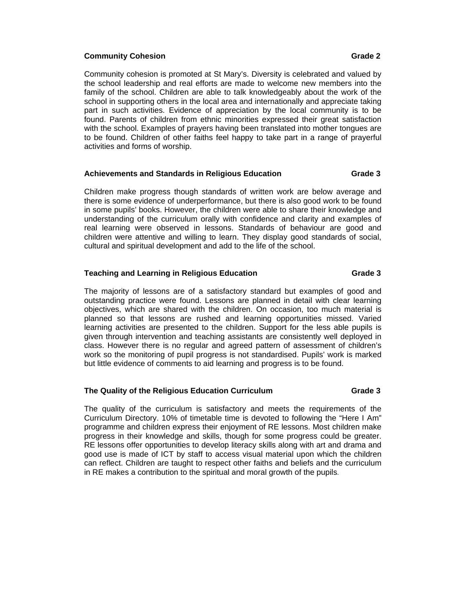### **Community Cohesion Grade 2 Grade 2 Grade 2 Grade 2**

Community cohesion is promoted at St Mary's. Diversity is celebrated and valued by the school leadership and real efforts are made to welcome new members into the family of the school. Children are able to talk knowledgeably about the work of the school in supporting others in the local area and internationally and appreciate taking part in such activities. Evidence of appreciation by the local community is to be found. Parents of children from ethnic minorities expressed their great satisfaction with the school. Examples of prayers having been translated into mother tongues are to be found. Children of other faiths feel happy to take part in a range of prayerful activities and forms of worship.

## **Achievements and Standards in Religious Education Grade 3**

Children make progress though standards of written work are below average and there is some evidence of underperformance, but there is also good work to be found in some pupils' books. However, the children were able to share their knowledge and understanding of the curriculum orally with confidence and clarity and examples of real learning were observed in lessons. Standards of behaviour are good and children were attentive and willing to learn. They display good standards of social, cultural and spiritual development and add to the life of the school.

### **Teaching and Learning in Religious Education Crace 1 6 Canade 3 Crade 3 Array Array Array Array Array Array Array Array Array Array Array Array Array Array Array Array Array Array Array Array Array Array Array Array Array**

The majority of lessons are of a satisfactory standard but examples of good and outstanding practice were found. Lessons are planned in detail with clear learning objectives, which are shared with the children. On occasion, too much material is planned so that lessons are rushed and learning opportunities missed. Varied learning activities are presented to the children. Support for the less able pupils is given through intervention and teaching assistants are consistently well deployed in class. However there is no regular and agreed pattern of assessment of children's work so the monitoring of pupil progress is not standardised. Pupils' work is marked but little evidence of comments to aid learning and progress is to be found.

### **The Quality of the Religious Education Curriculum Grade 3**

The quality of the curriculum is satisfactory and meets the requirements of the Curriculum Directory. 10% of timetable time is devoted to following the "Here I Am" programme and children express their enjoyment of RE lessons. Most children make progress in their knowledge and skills, though for some progress could be greater. RE lessons offer opportunities to develop literacy skills along with art and drama and good use is made of ICT by staff to access visual material upon which the children can reflect. Children are taught to respect other faiths and beliefs and the curriculum in RE makes a contribution to the spiritual and moral growth of the pupils*.*